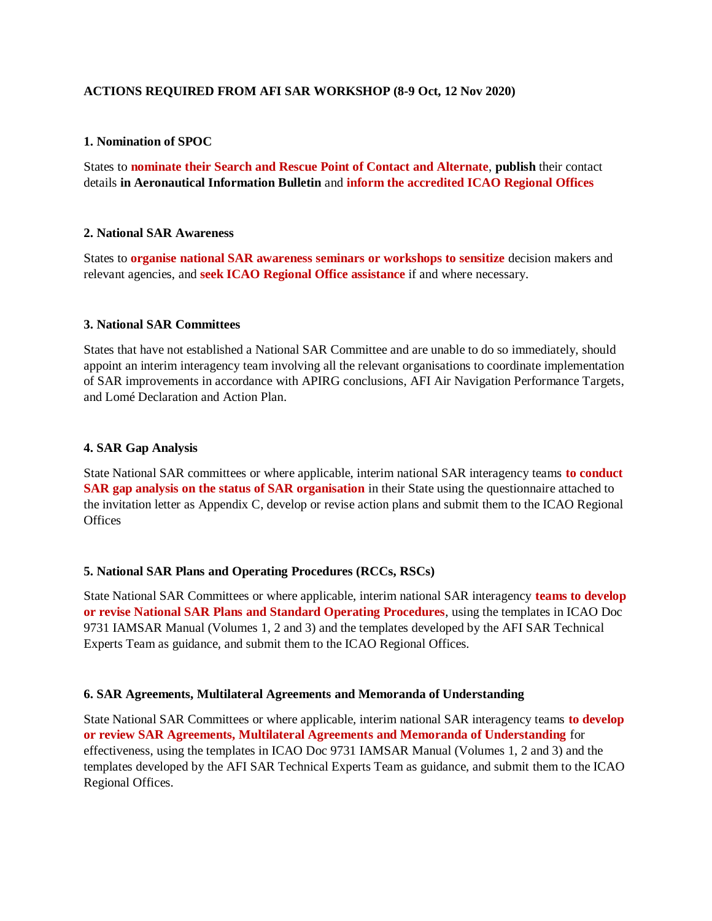### **ACTIONS REQUIRED FROM AFI SAR WORKSHOP (8-9 Oct, 12 Nov 2020)**

### **1. Nomination of SPOC**

States to **nominate their Search and Rescue Point of Contact and Alternate**, **publish** their contact details **in Aeronautical Information Bulletin** and **inform the accredited ICAO Regional Offices**

### **2. National SAR Awareness**

States to **organise national SAR awareness seminars or workshops to sensitize** decision makers and relevant agencies, and **seek ICAO Regional Office assistance** if and where necessary.

### **3. National SAR Committees**

States that have not established a National SAR Committee and are unable to do so immediately, should appoint an interim interagency team involving all the relevant organisations to coordinate implementation of SAR improvements in accordance with APIRG conclusions, AFI Air Navigation Performance Targets, and Lomé Declaration and Action Plan.

### **4. SAR Gap Analysis**

State National SAR committees or where applicable, interim national SAR interagency teams **to conduct SAR gap analysis on the status of SAR organisation** in their State using the questionnaire attached to the invitation letter as Appendix C, develop or revise action plans and submit them to the ICAO Regional **Offices** 

# **5. National SAR Plans and Operating Procedures (RCCs, RSCs)**

State National SAR Committees or where applicable, interim national SAR interagency **teams to develop or revise National SAR Plans and Standard Operating Procedures**, using the templates in ICAO Doc 9731 IAMSAR Manual (Volumes 1, 2 and 3) and the templates developed by the AFI SAR Technical Experts Team as guidance, and submit them to the ICAO Regional Offices.

# **6. SAR Agreements, Multilateral Agreements and Memoranda of Understanding**

State National SAR Committees or where applicable, interim national SAR interagency teams **to develop or review SAR Agreements, Multilateral Agreements and Memoranda of Understanding** for effectiveness, using the templates in ICAO Doc 9731 IAMSAR Manual (Volumes 1, 2 and 3) and the templates developed by the AFI SAR Technical Experts Team as guidance, and submit them to the ICAO Regional Offices.